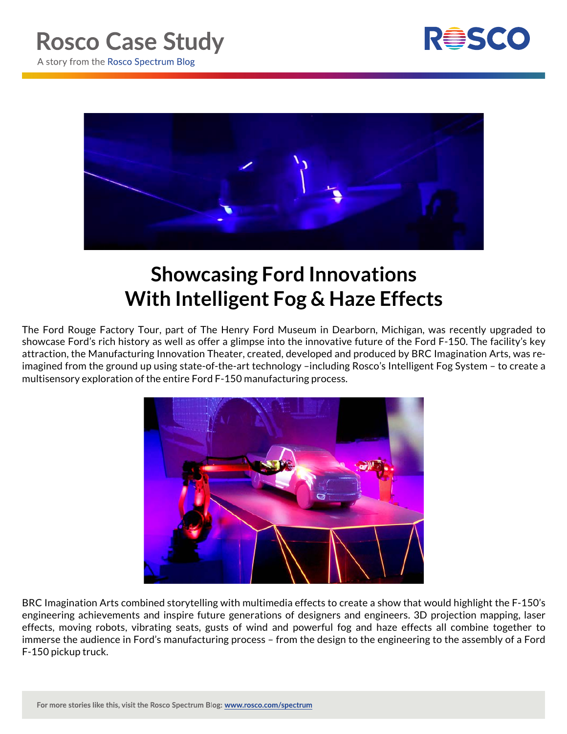



## **Showcasing Ford Innovations With Intelligent Fog & Haze Effects**

The Ford Rouge Factory Tour, part of The Henry Ford Museum in Dearborn, Michigan, was recently upgraded to showcase Ford's rich history as well as offer a glimpse into the innovative future of the Ford F-150. The facility's key attraction, the Manufacturing Innovation Theater, created, developed and produced by BRC Imagination Arts, was reimagined from the ground up using state-of-the-art technology –including Rosco's Intelligent Fog System – to create a multisensory exploration of the entire Ford F-150 manufacturing process.



BRC Imagination Arts combined storytelling with multimedia effects to create a show that would highlight the F-150's engineering achievements and inspire future generations of designers and engineers. 3D projection mapping, laser effects, moving robots, vibrating seats, gusts of wind and powerful fog and haze effects all combine together to immerse the audience in Ford's manufacturing process – from the design to the engineering to the assembly of a Ford F-150 pickup truck.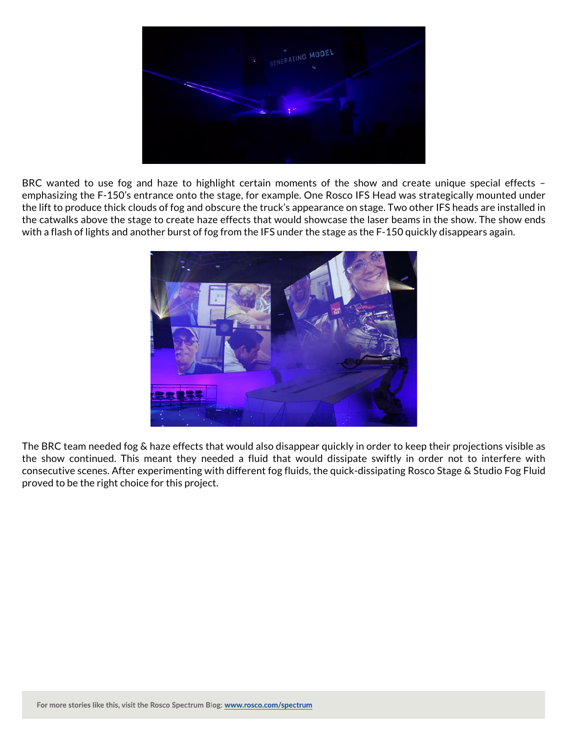

BRC wanted to use fog and haze to highlight certain moments of the show and create unique special effects emphasizing the F-150's entrance onto the stage, for example. One Rosco IFS Head was strategically mounted under the lift to produce thick clouds of fog and obscure the truck's appearance on stage. Two other IFS heads are installed in the catwalks above the stage to create haze effects that would showcase the laser beams in the show. The show ends with a flash of lights and another burst of fog from the IFS under the stage as the F-150 quickly disappears again.



The BRC team needed fog & haze effects that would also disappear quickly in order to keep their projections visible as the show continued. This meant they needed a fluid that would dissipate swiftly in order not to interfere with consecutive scenes. After experimenting with different fog fluids, the quick-dissipating Rosco Stage & Studio Fog Fluid proved to be the right choice for this project.